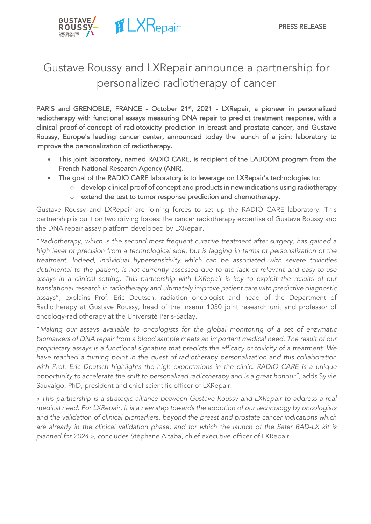

# Gustave Roussy and LXRepair announce a partnership for personalized radiotherapy of cancer

PARIS and GRENOBLE, FRANCE - October 21<sup>st</sup>, 2021 - LXRepair, a pioneer in personalized radiotherapy with functional assays measuring DNA repair to predict treatment response, with a clinical proof-of-concept of radiotoxicity prediction in breast and prostate cancer, and Gustave Roussy, Europe's leading cancer center, announced today the launch of a joint laboratory to improve the personalization of radiotherapy.

- This joint laboratory, named RADIO CARE, is recipient of the LABCOM program from the French National Research Agency (ANR).
- The goal of the RADIO CARE laboratory is to leverage on LXRepair's technologies to:
	- o develop clinical proof of concept and products in new indications using radiotherapy o extend the test to tumor response prediction and chemotherapy.

Gustave Roussy and LXRepair are joining forces to set up the RADIO CARE laboratory. This partnership is built on two driving forces: the cancer radiotherapy expertise of Gustave Roussy and the DNA repair assay platform developed by LXRepair.

"*Radiotherapy, which is the second most frequent curative treatment after surgery, has gained a high level of precision from a technological side, but is lagging in terms of personalization of the treatment. Indeed, individual hypersensitivity which can be associated with severe toxicities detrimental to the patient, is not currently assessed due to the lack of relevant and easy-to-use assays in a clinical setting. This partnership with LXRepair is key to exploit the results of our translational research in radiotherapy and ultimately improve patient care with predictive diagnostic assays*", explains Prof. Eric Deutsch, radiation oncologist and head of the Department of Radiotherapy at Gustave Roussy, head of the Inserm 1030 joint research unit and professor of oncology-radiotherapy at the Université Paris-Saclay.

"*Making our assays available to oncologists for the global monitoring of a set of enzymatic biomarkers of DNA repair from a blood sample meets an important medical need. The result of our proprietary assays is a functional signature that predicts the efficacy or toxicity of a treatment. We have reached a turning point in the quest of radiotherapy personalization and this collaboration with Prof. Eric Deutsch highlights the high expectations in the clinic. RADIO CARE is a unique opportunity to accelerate the shift to personalized radiotherapy and is a great honour"*, adds Sylvie Sauvaigo, PhD, president and chief scientific officer of LXRepair.

« *This partnership is a strategic alliance between Gustave Roussy and LXRepair to address a real medical need. For LXRepair, it is a new step towards the adoption of our technology by oncologists and the validation of clinical biomarkers, beyond the breast and prostate cancer indications which are already in the clinical validation phase, and for which the launch of the Safer RAD-LX kit is planned for 2024 »*, concludes Stéphane Altaba, chief executive officer of LXRepair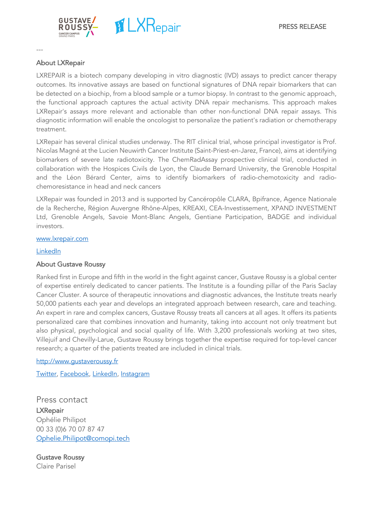

## About LXRepair

---

LXREPAIR is a biotech company developing in vitro diagnostic (IVD) assays to predict cancer therapy outcomes. Its innovative assays are based on functional signatures of DNA repair biomarkers that can be detected on a biochip, from a blood sample or a tumor biopsy. In contrast to the genomic approach, the functional approach captures the actual activity DNA repair mechanisms. This approach makes LXRepair's assays more relevant and actionable than other non-functional DNA repair assays. This diagnostic information will enable the oncologist to personalize the patient's radiation or chemotherapy treatment.

LXRepair has several clinical studies underway. The RIT clinical trial, whose principal investigator is Prof. Nicolas Magné at the Lucien Neuwirth Cancer Institute (Saint-Priest-en-Jarez, France), aims at identifying biomarkers of severe late radiotoxicity. The ChemRadAssay prospective clinical trial, conducted in collaboration with the Hospices Civils de Lyon, the Claude Bernard University, the Grenoble Hospital and the Léon Bérard Center, aims to identify biomarkers of radio-chemotoxicity and radiochemoresistance in head and neck cancers

LXRepair was founded in 2013 and is supported by Cancéropôle CLARA, Bpifrance, Agence Nationale de la Recherche, Région Auvergne Rhône-Alpes, KREAXI, CEA-Investissement, XPAND INVESTMENT Ltd, Grenoble Angels, Savoie Mont-Blanc Angels, Gentiane Participation, BADGE and individual investors.

#### www.lxrepair.com

#### LinkedIn

### About Gustave Roussy

Ranked first in Europe and fifth in the world in the fight against cancer, Gustave Roussy is a global center of expertise entirely dedicated to cancer patients. The Institute is a founding pillar of the Paris Saclay Cancer Cluster. A source of therapeutic innovations and diagnostic advances, the Institute treats nearly 50,000 patients each year and develops an integrated approach between research, care and teaching. An expert in rare and complex cancers, Gustave Roussy treats all cancers at all ages. It offers its patients personalized care that combines innovation and humanity, taking into account not only treatment but also physical, psychological and social quality of life. With 3,200 professionals working at two sites, Villejuif and Chevilly-Larue, Gustave Roussy brings together the expertise required for top-level cancer research; a quarter of the patients treated are included in clinical trials.

http://www.gustaveroussy.fr

Twitter, Facebook, LinkedIn, Instagram

Press contact **LXRepair** Ophélie Philipot 00 33 (0)6 70 07 87 47 Ophelie.Philipot@comopi.tech

Gustave Roussy Claire Parisel